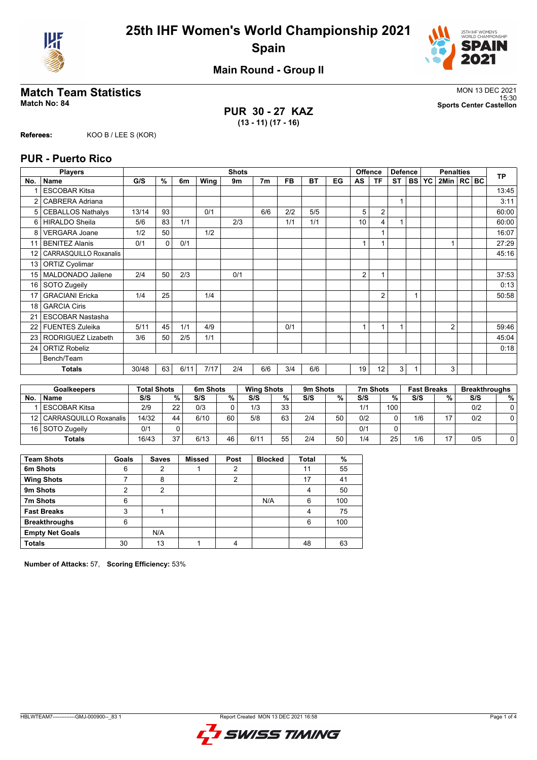



**Main Round - Group II**

## **Match Team Statistics** MON 13 DEC 2021

**PUR 30 - 27 KAZ (13 - 11) (17 - 16)**

15:30 **Match No: 84 Sports Center Castellon**

**Referees:** KOO B / LEE S (KOR)

#### **PUR - Puerto Rico**

|                 | <b>Players</b>           |       |          |      |      | <b>Shots</b> |                |           |           |    |    | <b>Offence</b> | <b>Defence</b> |           |           | <b>Penalties</b> |  | <b>TP</b> |
|-----------------|--------------------------|-------|----------|------|------|--------------|----------------|-----------|-----------|----|----|----------------|----------------|-----------|-----------|------------------|--|-----------|
| No.             | <b>Name</b>              | G/S   | %        | 6m   | Wing | 9m           | 7 <sub>m</sub> | <b>FB</b> | <b>BT</b> | EG | AS | <b>TF</b>      | <b>ST</b>      | <b>BS</b> | <b>YC</b> | 2Min   RC BC     |  |           |
|                 | <b>ESCOBAR Kitsa</b>     |       |          |      |      |              |                |           |           |    |    |                |                |           |           |                  |  | 13:45     |
| $\overline{2}$  | CABRERA Adriana          |       |          |      |      |              |                |           |           |    |    |                | 1              |           |           |                  |  | 3:11      |
| 5               | <b>CEBALLOS Nathalys</b> | 13/14 | 93       |      | 0/1  |              | 6/6            | 2/2       | 5/5       |    | 5  | $\overline{2}$ |                |           |           |                  |  | 60:00     |
| 6               | <b>HIRALDO Sheila</b>    | 5/6   | 83       | 1/1  |      | 2/3          |                | 1/1       | 1/1       |    | 10 | 4              |                |           |           |                  |  | 60:00     |
| 8               | <b>VERGARA Joane</b>     | 1/2   | 50       |      | 1/2  |              |                |           |           |    |    | 1              |                |           |           |                  |  | 16:07     |
| 11              | <b>BENITEZ Alanis</b>    | 0/1   | $\Omega$ | 0/1  |      |              |                |           |           |    |    |                |                |           |           |                  |  | 27:29     |
| 12 <sup>°</sup> | CARRASQUILLO Roxanalis   |       |          |      |      |              |                |           |           |    |    |                |                |           |           |                  |  | 45:16     |
| 13              | <b>ORTIZ Cyolimar</b>    |       |          |      |      |              |                |           |           |    |    |                |                |           |           |                  |  |           |
| 15              | MALDONADO Jailene        | 2/4   | 50       | 2/3  |      | 0/1          |                |           |           |    | 2  | 1              |                |           |           |                  |  | 37:53     |
| 16              | SOTO Zugeily             |       |          |      |      |              |                |           |           |    |    |                |                |           |           |                  |  | 0:13      |
| 17              | <b>GRACIANI Ericka</b>   | 1/4   | 25       |      | 1/4  |              |                |           |           |    |    | 2              |                |           |           |                  |  | 50:58     |
| 18              | <b>GARCIA Ciris</b>      |       |          |      |      |              |                |           |           |    |    |                |                |           |           |                  |  |           |
| 21              | <b>ESCOBAR Nastasha</b>  |       |          |      |      |              |                |           |           |    |    |                |                |           |           |                  |  |           |
| 22              | <b>FUENTES Zuleika</b>   | 5/11  | 45       | 1/1  | 4/9  |              |                | 0/1       |           |    | 1  | $\mathbf{1}$   | 1              |           |           | $\overline{2}$   |  | 59:46     |
| 23              | RODRIGUEZ Lizabeth       | 3/6   | 50       | 2/5  | 1/1  |              |                |           |           |    |    |                |                |           |           |                  |  | 45:04     |
| 24              | <b>ORTIZ Robeliz</b>     |       |          |      |      |              |                |           |           |    |    |                |                |           |           |                  |  | 0:18      |
|                 | Bench/Team               |       |          |      |      |              |                |           |           |    |    |                |                |           |           |                  |  |           |
|                 | <b>Totals</b>            | 30/48 | 63       | 6/11 | 7/17 | 2/4          | 6/6            | 3/4       | 6/6       |    | 19 | 12             | 3              |           |           | 3                |  |           |

|     | <b>Goalkeepers</b>          |       | <b>Total Shots</b> |      | 6m Shots |      | <b>Wing Shots</b> |     | 9m Shots |     | 7m Shots         | <b>Fast Breaks</b> |    | <b>Breakthroughs</b> |   |
|-----|-----------------------------|-------|--------------------|------|----------|------|-------------------|-----|----------|-----|------------------|--------------------|----|----------------------|---|
| No. | <b>Name</b>                 | S/S   | %                  | S/S  | %        | S/S  | %                 | S/S | %        | S/S | %                | S/S                | %  | S/S                  | % |
|     | <b>ESCOBAR Kitsa</b>        | 2/9   | 22                 | 0/3  |          | 1/3  | 33                |     |          | 1/1 | 100 <sub>1</sub> |                    |    | 0/2                  |   |
|     | 12   CARRASQUILLO Roxanalis | 14/32 | 44                 | 6/10 | 60       | 5/8  | 63                | 2/4 | 50       | 0/2 | ⌒                | 1/6                | 17 | 0/2                  |   |
|     | 16 SOTO Zugeily             | 0/1   |                    |      |          |      |                   |     |          | 0/1 |                  |                    |    |                      |   |
|     | <b>Totals</b>               | 16/43 | 37                 | 6/13 | 46       | 6/11 | 55                | 2/4 | 50       | 1/4 | 25               | 1/6                | 17 | 0/5                  |   |

| <b>Team Shots</b>      | Goals | <b>Saves</b> | <b>Missed</b> | Post | <b>Blocked</b> | <b>Total</b> | %   |
|------------------------|-------|--------------|---------------|------|----------------|--------------|-----|
| 6m Shots               | 6     | 2            |               | 2    |                | 11           | 55  |
| <b>Wing Shots</b>      |       | 8            |               | 2    |                | 17           | 41  |
| 9m Shots               | 2     | 2            |               |      |                | Λ            | 50  |
| 7m Shots               | 6     |              |               |      | N/A            | 6            | 100 |
| <b>Fast Breaks</b>     | 3     |              |               |      |                | 4            | 75  |
| <b>Breakthroughs</b>   | 6     |              |               |      |                | 6            | 100 |
| <b>Empty Net Goals</b> |       | N/A          |               |      |                |              |     |
| <b>Totals</b>          | 30    | 13           |               | 4    |                | 48           | 63  |

**Number of Attacks:** 57, **Scoring Efficiency:** 53%

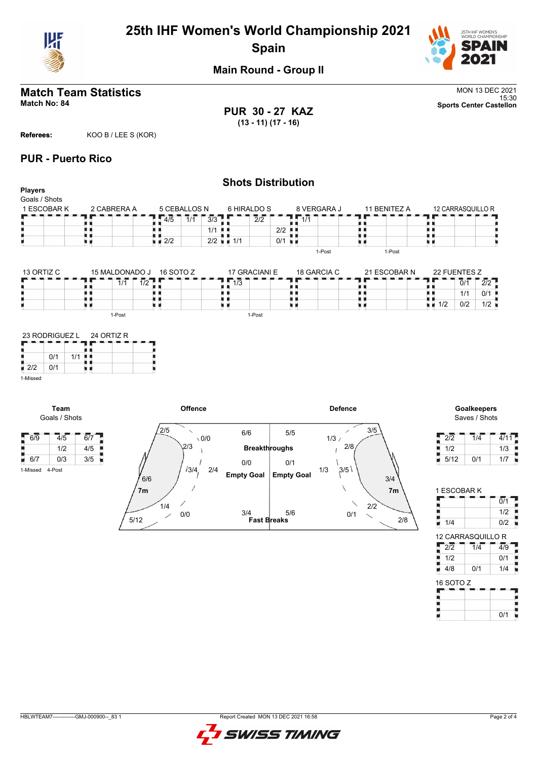

# **25th IHF Women's World Championship 2021 Spain**



**Main Round - Group II**

# **Match Team Statistics** MON 13 DEC 2021

**PUR 30 - 27 KAZ (13 - 11) (17 - 16)**

15:30 **Match No: 84 Sports Center Castellon**

**Referees:** KOO B / LEE S (KOR)

## **PUR - Puerto Rico**

|                                 |                       |                  |                |                                 |               |                                             |       |                          |                             | <b>Shots Distribution</b> |              |                |                |                                   |                                     |      |
|---------------------------------|-----------------------|------------------|----------------|---------------------------------|---------------|---------------------------------------------|-------|--------------------------|-----------------------------|---------------------------|--------------|----------------|----------------|-----------------------------------|-------------------------------------|------|
| <b>Players</b><br>Goals / Shots |                       |                  |                |                                 |               |                                             |       |                          |                             |                           |              |                |                |                                   |                                     |      |
|                                 | 1 ESCOBAR K           |                  | 2 CABRERA A    |                                 |               | 5 CEBALLOS N                                |       |                          | 6 HIRALDO S                 |                           | 8 VERGARA J  |                | 11 BENITEZ A   |                                   | 12 CARRASQUILLO R                   |      |
|                                 |                       |                  |                |                                 |               |                                             |       |                          |                             |                           |              |                |                |                                   |                                     |      |
|                                 |                       |                  |                |                                 | 4/5           | $\overline{1}/\overline{1}$                 | 3/3   |                          | $\overline{2}/\overline{2}$ |                           | $\sqrt{1/1}$ | . .            |                |                                   |                                     |      |
|                                 |                       | . .              |                |                                 |               |                                             | $1/1$ |                          |                             | $2/2$ $\blacksquare$      |              | . .<br>. .     |                |                                   |                                     |      |
|                                 |                       | u a              |                |                                 | $\sqrt{2/2}$  |                                             |       | $2/2$ $\blacksquare$ 1/1 |                             | 0/1                       |              | uв             |                | п                                 |                                     |      |
|                                 |                       |                  |                |                                 |               |                                             |       |                          |                             |                           |              | 1-Post         | 1-Post         |                                   |                                     |      |
| 13 ORTIZ C                      |                       |                  | 15 MALDONADO J |                                 | 16 SOTO Z     |                                             |       |                          | 17 GRACIANI E               |                           | 18 GARCIA C  |                | 21 ESCOBAR N   | 22 FUENTES Z                      |                                     |      |
|                                 |                       |                  | 7/1            | $\overline{1/2}$ $\overline{1}$ |               |                                             |       | $\overline{1/3}$         |                             |                           |              | . .            |                |                                   | $\overline{0}/\overline{1}$         | 2/2  |
|                                 |                       | . .              |                |                                 | . .           |                                             |       | 夏夏                       |                             | . .                       |              | 夏夏             |                |                                   | 1/1                                 | 0/1  |
|                                 |                       | u p              |                |                                 | . .<br>u d    |                                             |       | . .<br>uв                |                             | uи                        |              | . .<br>原则      |                | $\blacksquare$ $\blacksquare$ 1/2 | 0/2                                 | 1/2  |
|                                 |                       |                  | 1-Post         |                                 |               |                                             |       |                          | 1-Post                      |                           |              |                |                |                                   |                                     |      |
| $\blacksquare$ 2/2<br>1-Missed  | 0/1<br>0/1            | $1/1$<br>u p     |                |                                 |               |                                             |       |                          |                             |                           |              |                |                |                                   |                                     |      |
|                                 | Team<br>Goals / Shots |                  |                |                                 |               | Offence                                     |       |                          |                             |                           |              | <b>Defence</b> |                |                                   | <b>Goalkeepers</b><br>Saves / Shots |      |
| $-6/9$                          | 4/5                   | $\overline{6}/7$ |                |                                 | $\frac{2}{5}$ | $\overline{\phantom{0}}$<br>$\setminus$ 0/0 |       |                          | 6/6                         | 5/5                       |              | 3/5<br>1/3/    |                | $\overline{2/2}$                  | $\overline{1}/\overline{4}$         | 4/11 |
|                                 | 1/2                   | 4/5              |                |                                 |               | 2/3                                         |       |                          |                             | <b>Breakthroughs</b>      |              | 2/8            |                | 1/2                               |                                     | 1/3  |
| $\blacksquare$ 6/7              | 0/3                   | 3/5              |                |                                 |               |                                             |       |                          |                             |                           |              |                |                | 5/12                              | 0/1                                 | 1/7  |
| 1-Missed                        | 4-Post                |                  |                |                                 |               | 13/4,                                       | 2/4   |                          | 0/0                         | 0/1                       |              | 3/5<br>1/3     |                |                                   |                                     |      |
|                                 |                       |                  |                | 6/6                             |               |                                             |       | <b>Empty Goal</b>        |                             | <b>Empty Goal</b>         |              |                | 3/4            |                                   |                                     |      |
|                                 |                       |                  |                | 7 <sub>m</sub>                  |               |                                             |       |                          |                             |                           |              |                | 7 <sub>m</sub> |                                   | 1 ESCOBAR K                         |      |



| 1 ESCOBAR K       |     |
|-------------------|-----|
|                   | 0/1 |
|                   | 1/2 |
| 1/4               | 0/2 |
| 12 CARRASQUILLO R |     |

| 2/2       | 1/4 | 4/9 |
|-----------|-----|-----|
| 1/2       |     | 0/1 |
| 4/8       | 0/1 | 1/4 |
| 16 SOTO Z |     |     |

| 16 SOTO Z |     |
|-----------|-----|
|           |     |
|           |     |
|           | 0/1 |

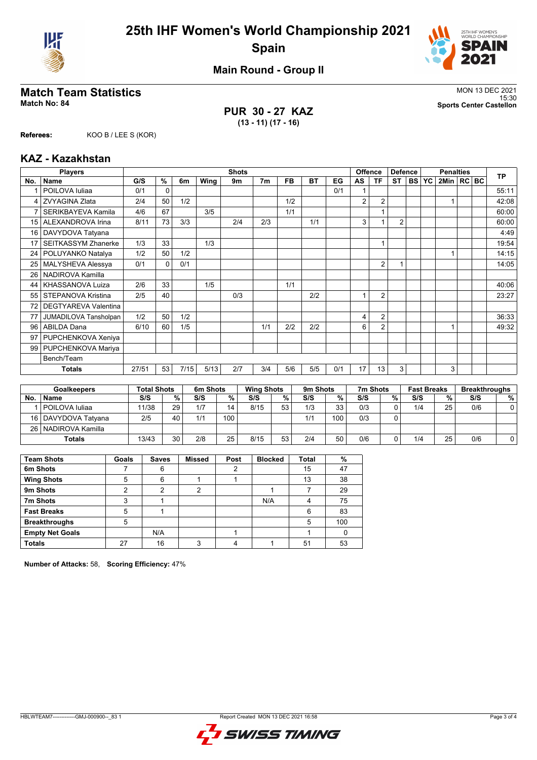



**Main Round - Group II**

## **Match Team Statistics** MON 13 DEC 2021

**PUR 30 - 27 KAZ (13 - 11) (17 - 16)**

15:30 **Match No: 84 Sports Center Castellon**

**Referees:** KOO B / LEE S (KOR)

#### **KAZ - Kazakhstan**

|     | <b>Players</b>              |       |          |      |      | <b>Shots</b> |                |           |           |     |                | <b>Offence</b> | <b>Defence</b> |           |           | <b>Penalties</b> |  | <b>TP</b> |
|-----|-----------------------------|-------|----------|------|------|--------------|----------------|-----------|-----------|-----|----------------|----------------|----------------|-----------|-----------|------------------|--|-----------|
| No. | <b>Name</b>                 | G/S   | %        | 6m   | Wing | 9m           | 7 <sub>m</sub> | <b>FB</b> | <b>BT</b> | EG  | AS             | <b>TF</b>      | <b>ST</b>      | <b>BS</b> | <b>YC</b> | 2Min   RC BC     |  |           |
|     | POILOVA Iuliaa              | 0/1   | $\Omega$ |      |      |              |                |           |           | 0/1 |                |                |                |           |           |                  |  | 55:11     |
| 4   | <b>ZVYAGINA Zlata</b>       | 2/4   | 50       | 1/2  |      |              |                | 1/2       |           |     | $\overline{2}$ | $\overline{2}$ |                |           |           |                  |  | 42:08     |
| 7   | SERIKBAYEVA Kamila          | 4/6   | 67       |      | 3/5  |              |                | 1/1       |           |     |                |                |                |           |           |                  |  | 60:00     |
| 15  | ALEXANDROVA Irina           | 8/11  | 73       | 3/3  |      | 2/4          | 2/3            |           | 1/1       |     | 3              |                | $\overline{2}$ |           |           |                  |  | 60:00     |
| 16  | DAVYDOVA Tatyana            |       |          |      |      |              |                |           |           |     |                |                |                |           |           |                  |  | 4:49      |
| 17  | <b>SEITKASSYM Zhanerke</b>  | 1/3   | 33       |      | 1/3  |              |                |           |           |     |                | 1              |                |           |           |                  |  | 19:54     |
| 24  | POLUYANKO Natalya           | 1/2   | 50       | 1/2  |      |              |                |           |           |     |                |                |                |           |           |                  |  | 14:15     |
| 25  | MALYSHEVA Alessya           | 0/1   | 0        | 0/1  |      |              |                |           |           |     |                | $\overline{2}$ | 1              |           |           |                  |  | 14:05     |
| 26  | NADIROVA Kamilla            |       |          |      |      |              |                |           |           |     |                |                |                |           |           |                  |  |           |
| 44  | KHASSANOVA Luiza            | 2/6   | 33       |      | 1/5  |              |                | 1/1       |           |     |                |                |                |           |           |                  |  | 40:06     |
| 55  | STEPANOVA Kristina          | 2/5   | 40       |      |      | 0/3          |                |           | 2/2       |     |                | $\overline{2}$ |                |           |           |                  |  | 23:27     |
| 72  | <b>DEGTYAREVA Valentina</b> |       |          |      |      |              |                |           |           |     |                |                |                |           |           |                  |  |           |
| 77  | JUMADILOVA Tansholpan       | 1/2   | 50       | 1/2  |      |              |                |           |           |     | 4              | $\overline{2}$ |                |           |           |                  |  | 36:33     |
| 96  | <b>ABILDA Dana</b>          | 6/10  | 60       | 1/5  |      |              | 1/1            | 2/2       | 2/2       |     | 6              | $\overline{2}$ |                |           |           |                  |  | 49:32     |
| 97  | PUPCHENKOVA Xeniya          |       |          |      |      |              |                |           |           |     |                |                |                |           |           |                  |  |           |
| 99  | PUPCHENKOVA Mariya          |       |          |      |      |              |                |           |           |     |                |                |                |           |           |                  |  |           |
|     | Bench/Team                  |       |          |      |      |              |                |           |           |     |                |                |                |           |           |                  |  |           |
|     | <b>Totals</b>               | 27/51 | 53       | 7/15 | 5/13 | 2/7          | 3/4            | 5/6       | 5/5       | 0/1 | 17             | 13             | 3              |           |           | 3                |  |           |

|           | <b>Goalkeepers</b>    |       | <b>Total Shots</b> |     | 6m Shots |      | <b>Wing Shots</b> |     | 9m Shots |     | 7m Shots |     | <b>Fast Breaks</b> |     | <b>Breakthroughs</b> |  |
|-----------|-----------------------|-------|--------------------|-----|----------|------|-------------------|-----|----------|-----|----------|-----|--------------------|-----|----------------------|--|
| <b>No</b> | <b>Name</b>           | S/S   | %                  | S/S | $\%$ .   | S/S  | %                 | S/S | %        | S/S | %        | S/S | %                  | S/S | %                    |  |
|           | POILOVA Iuliaa        | 11/38 | 29                 | 1/7 | 14       | 8/15 | 53                | 1/3 | 33       | 0/3 |          | 1/4 | 25                 | 0/6 |                      |  |
|           | 16   DAVYDOVA Tatvana | 2/5   | 40                 | 1/1 | 100      |      |                   | 1/1 | 100      | 0/3 |          |     |                    |     |                      |  |
|           | 26   NADIROVA Kamilla |       |                    |     |          |      |                   |     |          |     |          |     |                    |     |                      |  |
|           | <b>Totals</b>         | 13/43 | 30                 | 2/8 | 25       | 8/15 | 53                | 2/4 | 50       | 0/6 |          | 1/4 | 25                 | 0/6 |                      |  |

| <b>Team Shots</b>      | Goals | <b>Saves</b> | <b>Missed</b> | Post | <b>Blocked</b> | <b>Total</b> | %   |
|------------------------|-------|--------------|---------------|------|----------------|--------------|-----|
| 6m Shots               |       | 6            |               | 2    |                | 15           | 47  |
| <b>Wing Shots</b>      | 5     | 6            |               |      |                | 13           | 38  |
| 9m Shots               | 2     | 2            | 2             |      |                |              | 29  |
| 7m Shots               | 3     |              |               |      | N/A            | 4            | 75  |
| <b>Fast Breaks</b>     | 5     |              |               |      |                | 6            | 83  |
| <b>Breakthroughs</b>   | 5     |              |               |      |                | 5            | 100 |
| <b>Empty Net Goals</b> |       | N/A          |               |      |                |              |     |
| <b>Totals</b>          | 27    | 16           | 3             |      |                | 51           | 53  |

**Number of Attacks:** 58, **Scoring Efficiency:** 47%